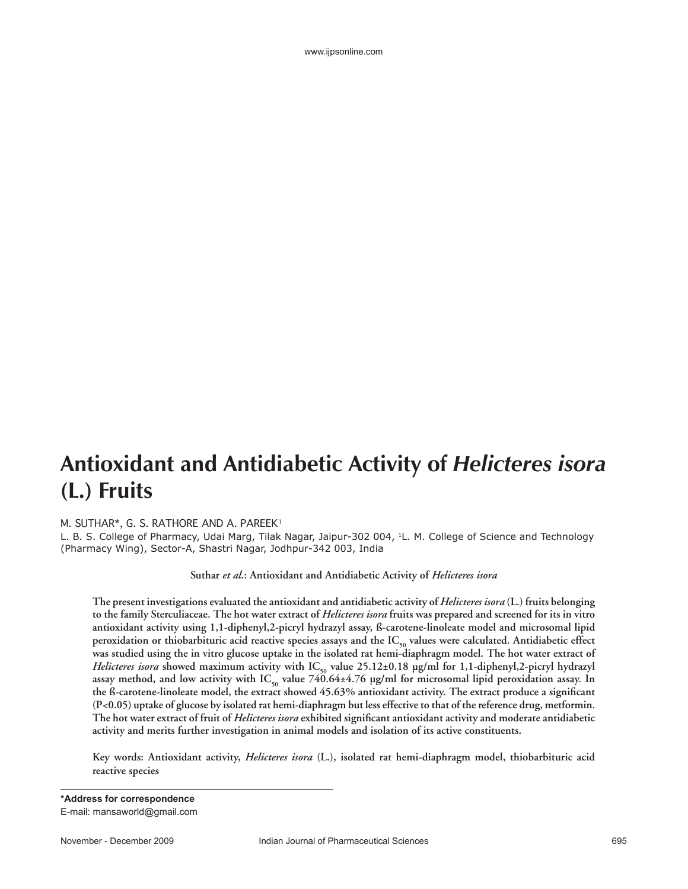www.ijpsonline.com

## **Antioxidant and Antidiabetic Activity of** *Helicteres isora* **(L.) Fruits**

## M. SUTHAR\*, G. S. RATHORE AND A. PAREEK1

L. B. S. College of Pharmacy, Udai Marg, Tilak Nagar, Jaipur-302 004, 1L. M. College of Science and Technology (Pharmacy Wing), Sector-A, Shastri Nagar, Jodhpur-342 003, India

**Suthar** *et al.***: Antioxidant and Antidiabetic Activity of** *Helicteres isora*

**The present investigations evaluated the antioxidant and antidiabetic activity of** *Helicteres isora* **(L.) fruits belonging to the family Sterculiaceae. The hot water extract of** *Helicteres isora* **fruits was prepared and screened for its in vitro antioxidant activity using 1,1-diphenyl,2-picryl hydrazyl assay, ß-carotene-linoleate model and microsomal lipid**  peroxidation or thiobarbituric acid reactive species assays and the IC<sub>50</sub> values were calculated. Antidiabetic effect **was studied using the in vitro glucose uptake in the isolated rat hemi-diaphragm model. The hot water extract of**  *Helicteres isora* showed maximum activity with IC<sub>50</sub> value 25.12±0.18 µg/ml for 1,1-diphenyl,2-picryl hydrazyl assay method, and low activity with  $IC_{50}$  value  $740.64\pm4.76$  µg/ml for microsomal lipid peroxidation assay. In the ß-carotene-linoleate model, the extract showed 45.63% antioxidant activity. The extract produce a significant **(P<0.05) uptake of glucose by isolated rat hemi-diaphragm but less effective to that of the reference drug, metformin.**  The hot water extract of fruit of *Helicteres isora* exhibited significant antioxidant activity and moderate antidiabetic **activity and merits further investigation in animal models and isolation of its active constituents.** 

**Key words: Antioxidant activity,** *Helicteres isora* **(L.), isolated rat hemi-diaphragm model, thiobarbituric acid reactive species**

**\*Address for correspondence** E-mail: mansaworld@gmail.com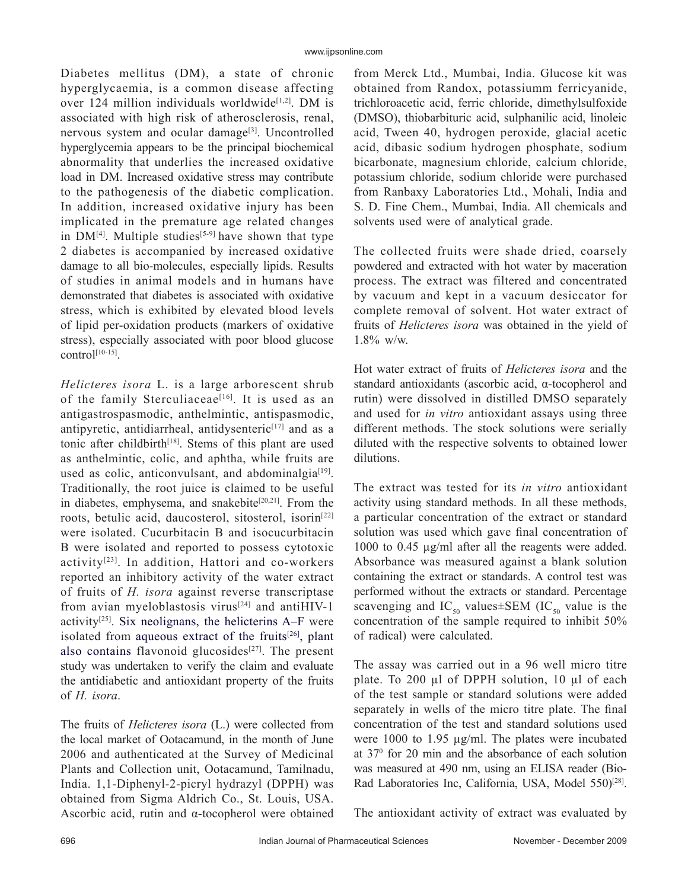Diabetes mellitus (DM), a state of chronic hyperglycaemia, is a common disease affecting over 124 million individuals worldwide<sup>[1,2]</sup>. DM is associated with high risk of atherosclerosis, renal, nervous system and ocular damage<sup>[3]</sup>. Uncontrolled hyperglycemia appears to be the principal biochemical abnormality that underlies the increased oxidative load in DM. Increased oxidative stress may contribute to the pathogenesis of the diabetic complication. In addition, increased oxidative injury has been implicated in the premature age related changes in  $DM^{[4]}$ . Multiple studies<sup>[5-9]</sup> have shown that type 2 diabetes is accompanied by increased oxidative damage to all bio-molecules, especially lipids. Results of studies in animal models and in humans have demonstrated that diabetes is associated with oxidative stress, which is exhibited by elevated blood levels of lipid per-oxidation products (markers of oxidative stress), especially associated with poor blood glucose  $control<sup>[10-15]</sup>$ .

*Helicteres isora* L. is a large arborescent shrub of the family Sterculiaceae<sup>[16]</sup>. It is used as an antigastrospasmodic, anthelmintic, antispasmodic, antipyretic, antidiarrheal, antidysenteric $[17]$  and as a tonic after childbirth<sup>[18]</sup>. Stems of this plant are used as anthelmintic, colic, and aphtha, while fruits are used as colic, anticonvulsant, and abdominalgia $[19]$ . Traditionally, the root juice is claimed to be useful in diabetes, emphysema, and snakebite<sup>[20,21]</sup>. From the roots, betulic acid, daucosterol, sitosterol, isorin<sup>[22]</sup> were isolated. Cucurbitacin B and isocucurbitacin B were isolated and reported to possess cytotoxic activity[23]. In addition, Hattori and co-workers reported an inhibitory activity of the water extract of fruits of *H. isora* against reverse transcriptase from avian myeloblastosis virus $[24]$  and antiHIV-1 activity<sup>[25]</sup>. Six neolignans, the helicterins  $A-F$  were isolated from aqueous extract of the fruits $[26]$ , plant also contains flavonoid glucosides $[27]$ . The present study was undertaken to verify the claim and evaluate the antidiabetic and antioxidant property of the fruits of *H. isora*.

The fruits of *Helicteres isora* (L.) were collected from the local market of Ootacamund, in the month of June 2006 and authenticated at the Survey of Medicinal Plants and Collection unit, Ootacamund, Tamilnadu, India. 1,1-Diphenyl-2-picryl hydrazyl (DPPH) was obtained from Sigma Aldrich Co., St. Louis, USA. Ascorbic acid, rutin and α-tocopherol were obtained from Merck Ltd., Mumbai, India. Glucose kit was obtained from Randox, potassiumm ferricyanide, trichloroacetic acid, ferric chloride, dimethylsulfoxide (DMSO), thiobarbituric acid, sulphanilic acid, linoleic acid, Tween 40, hydrogen peroxide, glacial acetic acid, dibasic sodium hydrogen phosphate, sodium bicarbonate, magnesium chloride, calcium chloride, potassium chloride, sodium chloride were purchased from Ranbaxy Laboratories Ltd., Mohali, India and S. D. Fine Chem., Mumbai, India. All chemicals and solvents used were of analytical grade.

The collected fruits were shade dried, coarsely powdered and extracted with hot water by maceration process. The extract was filtered and concentrated by vacuum and kept in a vacuum desiccator for complete removal of solvent. Hot water extract of fruits of *Helicteres isora* was obtained in the yield of 1.8% w/w.

Hot water extract of fruits of *Helicteres isora* and the standard antioxidants (ascorbic acid, α-tocopherol and rutin) were dissolved in distilled DMSO separately and used for *in vitro* antioxidant assays using three different methods. The stock solutions were serially diluted with the respective solvents to obtained lower dilutions.

The extract was tested for its *in vitro* antioxidant activity using standard methods. In all these methods, a particular concentration of the extract or standard solution was used which gave final concentration of 1000 to 0.45 µg/ml after all the reagents were added. Absorbance was measured against a blank solution containing the extract or standards. A control test was performed without the extracts or standard. Percentage scavenging and  $IC_{50}$  values±SEM (IC<sub>50</sub> value is the concentration of the sample required to inhibit 50% of radical) were calculated.

The assay was carried out in a 96 well micro titre plate. To 200 µl of DPPH solution, 10 µl of each of the test sample or standard solutions were added separately in wells of the micro titre plate. The final concentration of the test and standard solutions used were 1000 to 1.95 µg/ml. The plates were incubated at 370 for 20 min and the absorbance of each solution was measured at 490 nm, using an ELISA reader (Bio-Rad Laboratories Inc, California, USA, Model 550)<sup>[28]</sup>.

The antioxidant activity of extract was evaluated by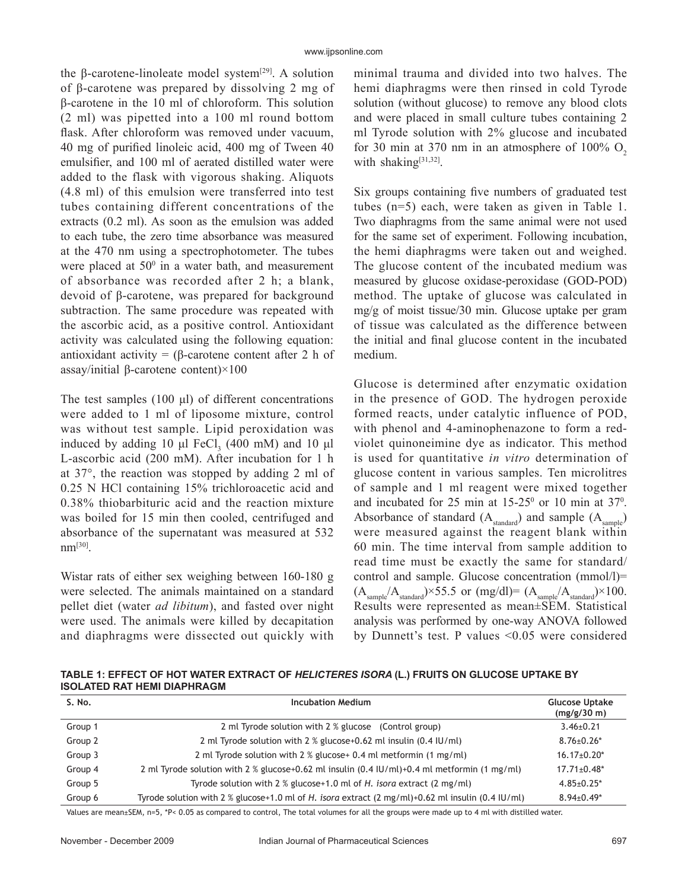the β-carotene-linoleate model system<sup>[29]</sup>. A solution of β-carotene was prepared by dissolving 2 mg of β-carotene in the 10 ml of chloroform. This solution (2 ml) was pipetted into a 100 ml round bottom flask. After chloroform was removed under vacuum, 40 mg of purified linoleic acid, 400 mg of Tween 40 emulsifier, and 100 ml of aerated distilled water were added to the flask with vigorous shaking. Aliquots (4.8 ml) of this emulsion were transferred into test tubes containing different concentrations of the extracts (0.2 ml). As soon as the emulsion was added to each tube, the zero time absorbance was measured at the 470 nm using a spectrophotometer. The tubes were placed at  $50^{\circ}$  in a water bath, and measurement of absorbance was recorded after 2 h; a blank, devoid of β-carotene, was prepared for background subtraction. The same procedure was repeated with the ascorbic acid, as a positive control. Antioxidant activity was calculated using the following equation: antioxidant activity = (β-carotene content after 2 h of assay/initial β-carotene content)×100

The test samples  $(100 \mu l)$  of different concentrations were added to 1 ml of liposome mixture, control was without test sample. Lipid peroxidation was induced by adding 10  $\mu$ l FeCl<sub>3</sub> (400 mM) and 10  $\mu$ l L-ascorbic acid (200 mM). After incubation for 1 h at 37°, the reaction was stopped by adding 2 ml of 0.25 N HCl containing 15% trichloroacetic acid and 0.38% thiobarbituric acid and the reaction mixture was boiled for 15 min then cooled, centrifuged and absorbance of the supernatant was measured at 532 nm[30].

Wistar rats of either sex weighing between 160-180 g were selected. The animals maintained on a standard pellet diet (water *ad libitum*), and fasted over night were used. The animals were killed by decapitation and diaphragms were dissected out quickly with minimal trauma and divided into two halves. The hemi diaphragms were then rinsed in cold Tyrode solution (without glucose) to remove any blood clots and were placed in small culture tubes containing 2 ml Tyrode solution with 2% glucose and incubated for 30 min at 370 nm in an atmosphere of  $100\%$  O<sub>2</sub> with shaking<sup>[31,32]</sup>.

Six groups containing five numbers of graduated test tubes (n=5) each, were taken as given in Table 1. Two diaphragms from the same animal were not used for the same set of experiment. Following incubation, the hemi diaphragms were taken out and weighed. The glucose content of the incubated medium was measured by glucose oxidase-peroxidase (GOD-POD) method. The uptake of glucose was calculated in mg/g of moist tissue/30 min. Glucose uptake per gram of tissue was calculated as the difference between the initial and final glucose content in the incubated medium.

Glucose is determined after enzymatic oxidation in the presence of GOD. The hydrogen peroxide formed reacts, under catalytic influence of POD, with phenol and 4-aminophenazone to form a redviolet quinoneimine dye as indicator. This method is used for quantitative *in vitro* determination of glucose content in various samples. Ten microlitres of sample and 1 ml reagent were mixed together and incubated for  $25 \text{ min}$  at  $15\text{-}25^{\circ}$  or  $10 \text{ min}$  at  $37^{\circ}$ . Absorbance of standard  $(A_{standard})$  and sample  $(A_{sample})$ were measured against the reagent blank within 60 min. The time interval from sample addition to read time must be exactly the same for standard/ control and sample. Glucose concentration (mmol/l)=  $(A_{sample}/A_{standard}) \times 55.5$  or  $(mg/dl) = (A_{sample}/A_{standard}) \times 100.$ Results were represented as mean±SEM. Statistical analysis was performed by one-way ANOVA followed by Dunnett's test. P values <0.05 were considered

**TABLE 1: EFFECT OF HOT WATER EXTRACT OF** *HELICTERES ISORA* **(L.) FRUITS ON GLUCOSE UPTAKE BY ISOLATED RAT HEMI DIAPHRAGM** 

| S. No.  | <b>Incubation Medium</b>                                                                                                 | <b>Glucose Uptake</b><br>(mg/g/30 m) |
|---------|--------------------------------------------------------------------------------------------------------------------------|--------------------------------------|
| Group 1 | 2 ml Tyrode solution with 2 % glucose (Control group)                                                                    | $3.46 \pm 0.21$                      |
| Group 2 | 2 ml Tyrode solution with 2 % glucose+0.62 ml insulin (0.4 IU/ml)                                                        | $8.76 \pm 0.26*$                     |
| Group 3 | 2 ml Tyrode solution with 2 % glucose+ 0.4 ml metformin (1 mg/ml)                                                        | $16.17 \pm 0.20$ *                   |
| Group 4 | 2 ml Tyrode solution with 2 % glucose+0.62 ml insulin $(0.4 \text{ IU/ml})+0.4 \text{ ml}$ metformin $(1 \text{ mg/ml})$ | $17.71 \pm 0.48^*$                   |
| Group 5 | Tyrode solution with 2 % glucose+1.0 ml of H. isora extract (2 mg/ml)                                                    | $4.85 \pm 0.25$ *                    |
| Group 6 | Tyrode solution with 2 % glucose+1.0 ml of H. isora extract $(2 \text{ mg/ml})+0.62$ ml insulin $(0.4 \text{ IU/ml})$    | $8.94 \pm 0.49^*$                    |

Values are mean±SEM, n=5, \*P< 0.05 as compared to control, The total volumes for all the groups were made up to 4 ml with distilled water.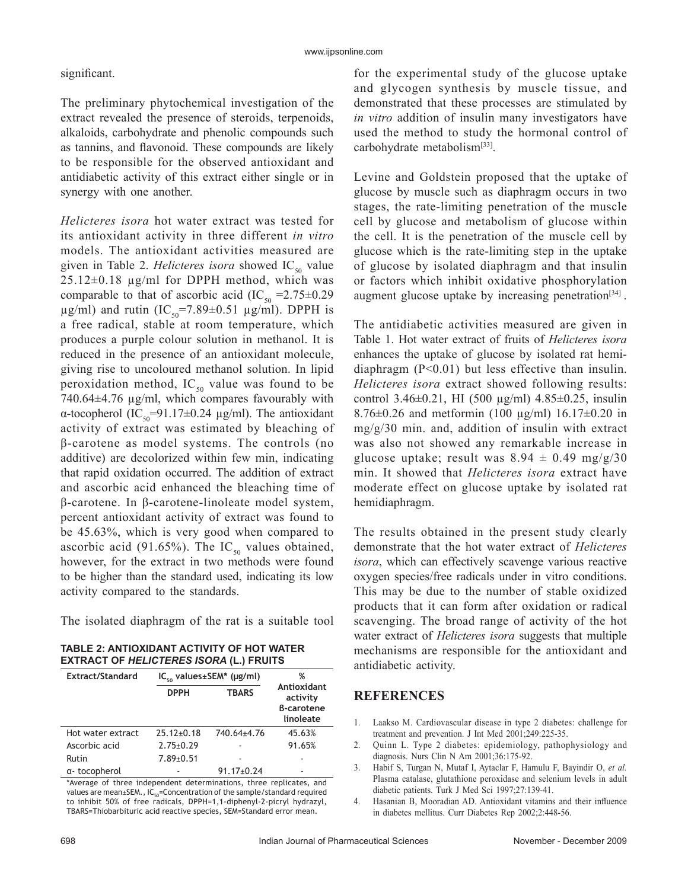## significant.

The preliminary phytochemical investigation of the extract revealed the presence of steroids, terpenoids, alkaloids, carbohydrate and phenolic compounds such as tannins, and flavonoid. These compounds are likely to be responsible for the observed antioxidant and antidiabetic activity of this extract either single or in synergy with one another.

*Helicteres isora* hot water extract was tested for its antioxidant activity in three different *in vitro* models. The antioxidant activities measured are given in Table 2. *Helicteres isora* showed  $IC_{50}$  value 25.12±0.18 µg/ml for DPPH method, which was comparable to that of ascorbic acid (IC<sub>50</sub> = 2.75 $\pm$ 0.29  $\mu$ g/ml) and rutin (IC<sub>50</sub>=7.89±0.51  $\mu$ g/ml). DPPH is a free radical, stable at room temperature, which produces a purple colour solution in methanol. It is reduced in the presence of an antioxidant molecule, giving rise to uncoloured methanol solution. In lipid peroxidation method,  $IC_{50}$  value was found to be 740.64±4.76 µg/ml, which compares favourably with α-tocopherol (IC<sub>50</sub>=91.17±0.24 μg/ml). The antioxidant activity of extract was estimated by bleaching of β-carotene as model systems. The controls (no additive) are decolorized within few min, indicating that rapid oxidation occurred. The addition of extract and ascorbic acid enhanced the bleaching time of β-carotene. In β-carotene-linoleate model system, percent antioxidant activity of extract was found to be 45.63%, which is very good when compared to ascorbic acid (91.65%). The IC<sub>50</sub> values obtained, however, for the extract in two methods were found to be higher than the standard used, indicating its low activity compared to the standards.

The isolated diaphragm of the rat is a suitable tool

**TABLE 2: ANTIOXIDANT ACTIVITY OF HOT WATER EXTRACT OF** *HELICTERES ISORA* **(L.) FRUITS** 

| Extract/Standard  | $IC_{50}$ values±SEM* ( $\mu$ g/ml) |                  | %                                                         |
|-------------------|-------------------------------------|------------------|-----------------------------------------------------------|
|                   | <b>DPPH</b>                         | <b>TBARS</b>     | Antioxidant<br>activity<br><b>B-carotene</b><br>linoleate |
| Hot water extract | $25.12 \pm 0.18$                    | 740.64±4.76      | 45.63%                                                    |
| Ascorbic acid     | $2.75 \pm 0.29$                     |                  | 91.65%                                                    |
| Rutin             | $7.89 \pm 0.51$                     |                  |                                                           |
| a-tocopherol      |                                     | $91.17 \pm 0.24$ |                                                           |

\*Average of three independent determinations, three replicates, and values are mean±SEM., IC<sub>50</sub>=Concentration of the sample/standard required to inhibit 50% of free radicals, DPPH=1,1-diphenyl-2-picryl hydrazyl, TBARS=Thiobarbituric acid reactive species, SEM=Standard error mean.

for the experimental study of the glucose uptake and glycogen synthesis by muscle tissue, and demonstrated that these processes are stimulated by *in vitro* addition of insulin many investigators have used the method to study the hormonal control of carbohydrate metabolism<sup>[33]</sup>.

Levine and Goldstein proposed that the uptake of glucose by muscle such as diaphragm occurs in two stages, the rate-limiting penetration of the muscle cell by glucose and metabolism of glucose within the cell. It is the penetration of the muscle cell by glucose which is the rate-limiting step in the uptake of glucose by isolated diaphragm and that insulin or factors which inhibit oxidative phosphorylation augment glucose uptake by increasing penetration<sup>[34]</sup>.

The antidiabetic activities measured are given in Table 1. Hot water extract of fruits of *Helicteres isora*  enhances the uptake of glucose by isolated rat hemidiaphragm (P<0.01) but less effective than insulin. *Helicteres isora* extract showed following results: control 3.46 $\pm$ 0.21, HI (500 µg/ml) 4.85 $\pm$ 0.25, insulin 8.76 $\pm$ 0.26 and metformin (100 µg/ml) 16.17 $\pm$ 0.20 in mg/g/30 min. and, addition of insulin with extract was also not showed any remarkable increase in glucose uptake; result was  $8.94 \pm 0.49$  mg/g/30 min. It showed that *Helicteres isora* extract have moderate effect on glucose uptake by isolated rat hemidiaphragm.

The results obtained in the present study clearly demonstrate that the hot water extract of *Helicteres isora*, which can effectively scavenge various reactive oxygen species/free radicals under in vitro conditions. This may be due to the number of stable oxidized products that it can form after oxidation or radical scavenging. The broad range of activity of the hot water extract of *Helicteres isora* suggests that multiple mechanisms are responsible for the antioxidant and antidiabetic activity.

## **REFERENCES**

- 1. Laakso M. Cardiovascular disease in type 2 diabetes: challenge for treatment and prevention. J Int Med 2001;249:225-35.
- 2. Quinn L. Type 2 diabetes: epidemiology, pathophysiology and diagnosis. Nurs Clin N Am 2001;36:175-92.
- 3. Habif S, Turgan N, Mutaf I, Aytaclar F, Hamulu F, Bayindir O, *et al.* Plasma catalase, glutathione peroxidase and selenium levels in adult diabetic patients. Turk J Med Sci 1997;27:139-41.
- 4. Hasanian B, Mooradian AD. Antioxidant vitamins and their influence in diabetes mellitus. Curr Diabetes Rep 2002;2:448-56.